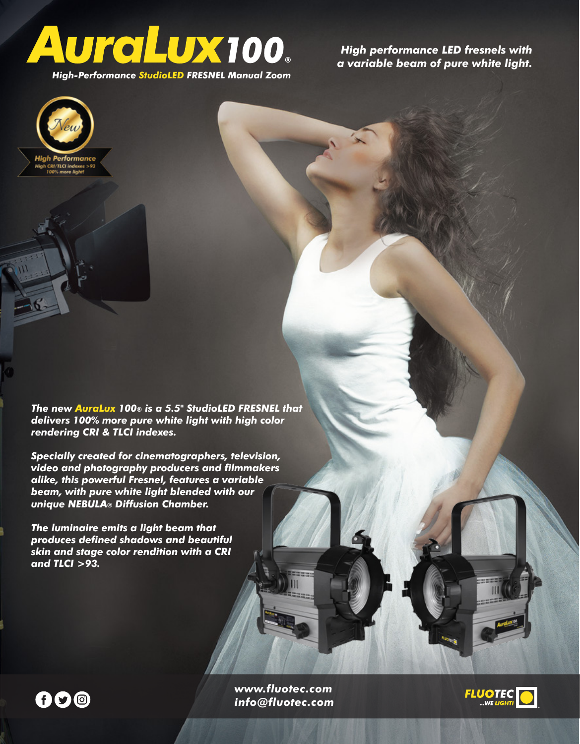

*High performance LED fresnels with a variable beam of pure white light.*

*High-Performance StudioLED FRESNEL Manual Zoom*



*The new AuraLux 100® is a 5.5" StudioLED FRESNEL that delivers 100% more pure white light with high color rendering CRI & TLCI indexes.*

*Specially created for cinematographers, television, video and photography producers and filmmakers alike, this powerful Fresnel, features a variable beam, with pure white light blended with our unique NEBULA® Diffusion Chamber.*

*The luminaire emits a light beam that produces defined shadows and beautiful skin and stage color rendition with a CRI and TLCI >93.*



*www.fluotec.com info@fluotec.com*